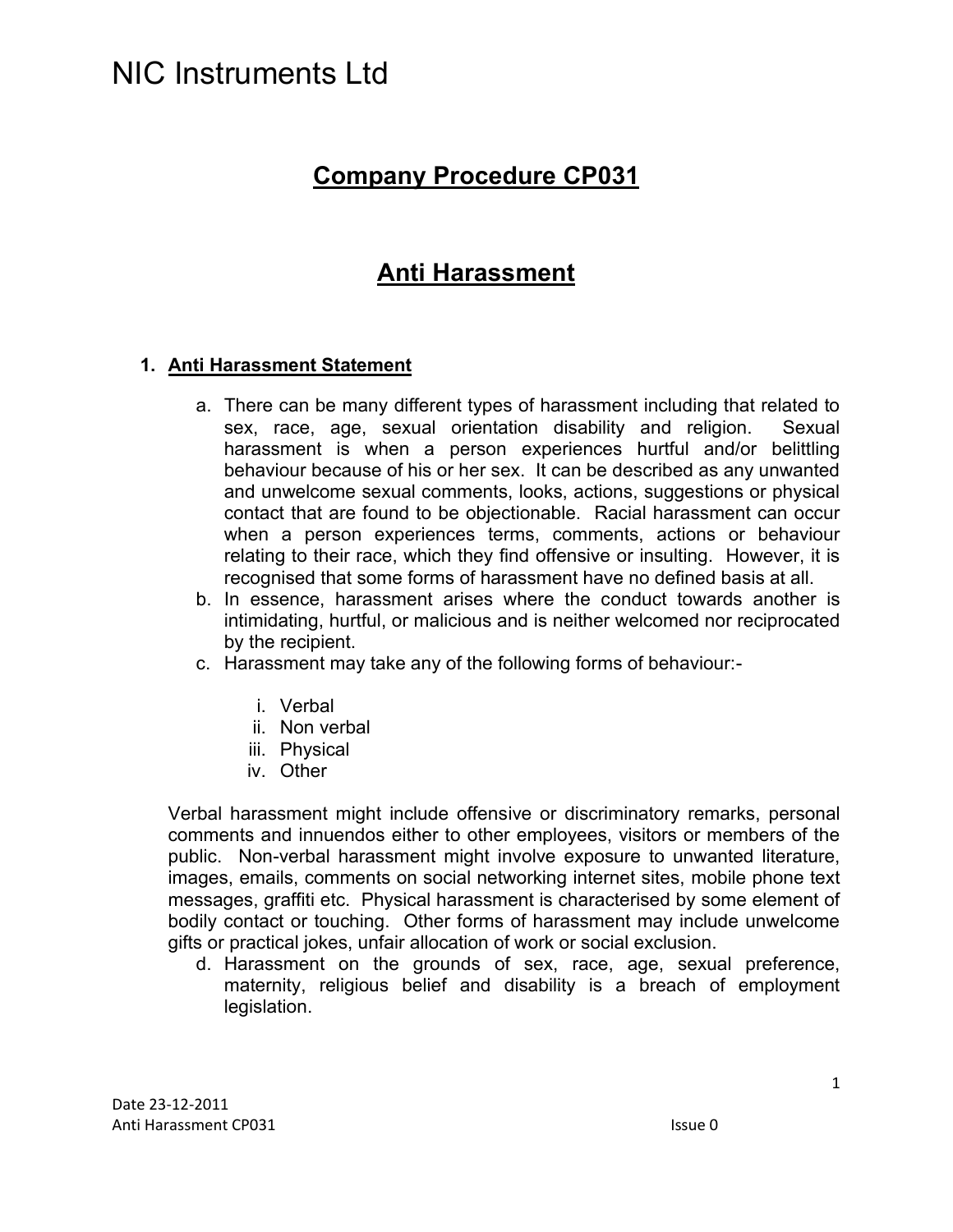## NIC Instruments I td

### **Company Procedure CP031**

### **Anti Harassment**

### **1. Anti Harassment Statement**

- a. There can be many different types of harassment including that related to sex, race, age, sexual orientation disability and religion. Sexual harassment is when a person experiences hurtful and/or belittling behaviour because of his or her sex. It can be described as any unwanted and unwelcome sexual comments, looks, actions, suggestions or physical contact that are found to be objectionable. Racial harassment can occur when a person experiences terms, comments, actions or behaviour relating to their race, which they find offensive or insulting. However, it is recognised that some forms of harassment have no defined basis at all.
- b. In essence, harassment arises where the conduct towards another is intimidating, hurtful, or malicious and is neither welcomed nor reciprocated by the recipient.
- c. Harassment may take any of the following forms of behaviour:
	- i. Verbal
	- ii. Non verbal
	- iii. Physical
	- iv. Other

Verbal harassment might include offensive or discriminatory remarks, personal comments and innuendos either to other employees, visitors or members of the public. Non-verbal harassment might involve exposure to unwanted literature, images, emails, comments on social networking internet sites, mobile phone text messages, graffiti etc. Physical harassment is characterised by some element of bodily contact or touching. Other forms of harassment may include unwelcome gifts or practical jokes, unfair allocation of work or social exclusion.

d. Harassment on the grounds of sex, race, age, sexual preference, maternity, religious belief and disability is a breach of employment legislation.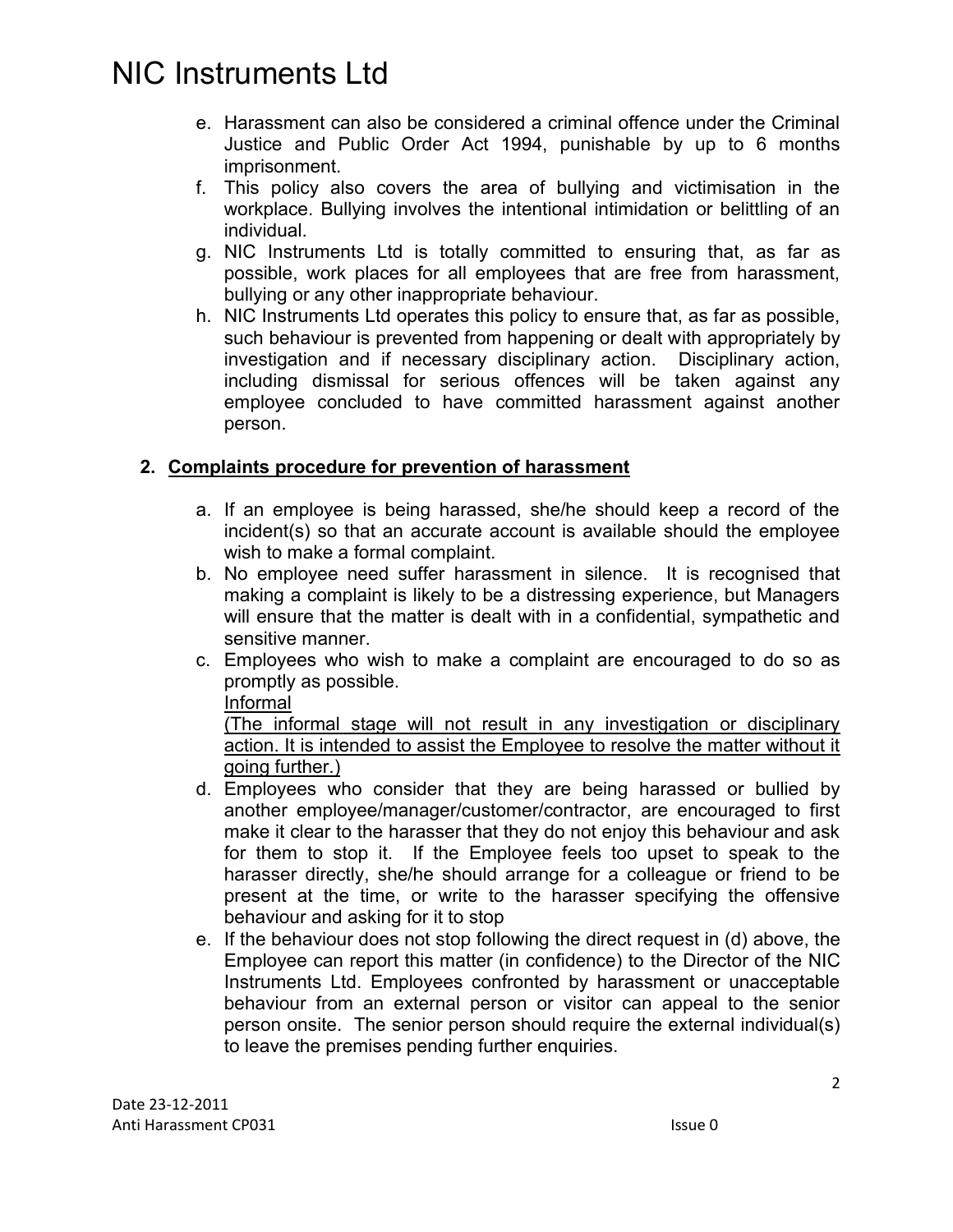## NIC Instruments Ltd

- e. Harassment can also be considered a criminal offence under the Criminal Justice and Public Order Act 1994, punishable by up to 6 months imprisonment.
- f. This policy also covers the area of bullying and victimisation in the workplace. Bullying involves the intentional intimidation or belittling of an individual.
- g. NIC Instruments Ltd is totally committed to ensuring that, as far as possible, work places for all employees that are free from harassment, bullying or any other inappropriate behaviour.
- h. NIC Instruments Ltd operates this policy to ensure that, as far as possible, such behaviour is prevented from happening or dealt with appropriately by investigation and if necessary disciplinary action. Disciplinary action, including dismissal for serious offences will be taken against any employee concluded to have committed harassment against another person.

### **2. Complaints procedure for prevention of harassment**

- a. If an employee is being harassed, she/he should keep a record of the incident(s) so that an accurate account is available should the employee wish to make a formal complaint.
- b. No employee need suffer harassment in silence. It is recognised that making a complaint is likely to be a distressing experience, but Managers will ensure that the matter is dealt with in a confidential, sympathetic and sensitive manner.
- c. Employees who wish to make a complaint are encouraged to do so as promptly as possible.

#### Informal

(The informal stage will not result in any investigation or disciplinary action. It is intended to assist the Employee to resolve the matter without it going further.)

- d. Employees who consider that they are being harassed or bullied by another employee/manager/customer/contractor, are encouraged to first make it clear to the harasser that they do not enjoy this behaviour and ask for them to stop it. If the Employee feels too upset to speak to the harasser directly, she/he should arrange for a colleague or friend to be present at the time, or write to the harasser specifying the offensive behaviour and asking for it to stop
- e. If the behaviour does not stop following the direct request in (d) above, the Employee can report this matter (in confidence) to the Director of the NIC Instruments Ltd. Employees confronted by harassment or unacceptable behaviour from an external person or visitor can appeal to the senior person onsite. The senior person should require the external individual(s) to leave the premises pending further enquiries.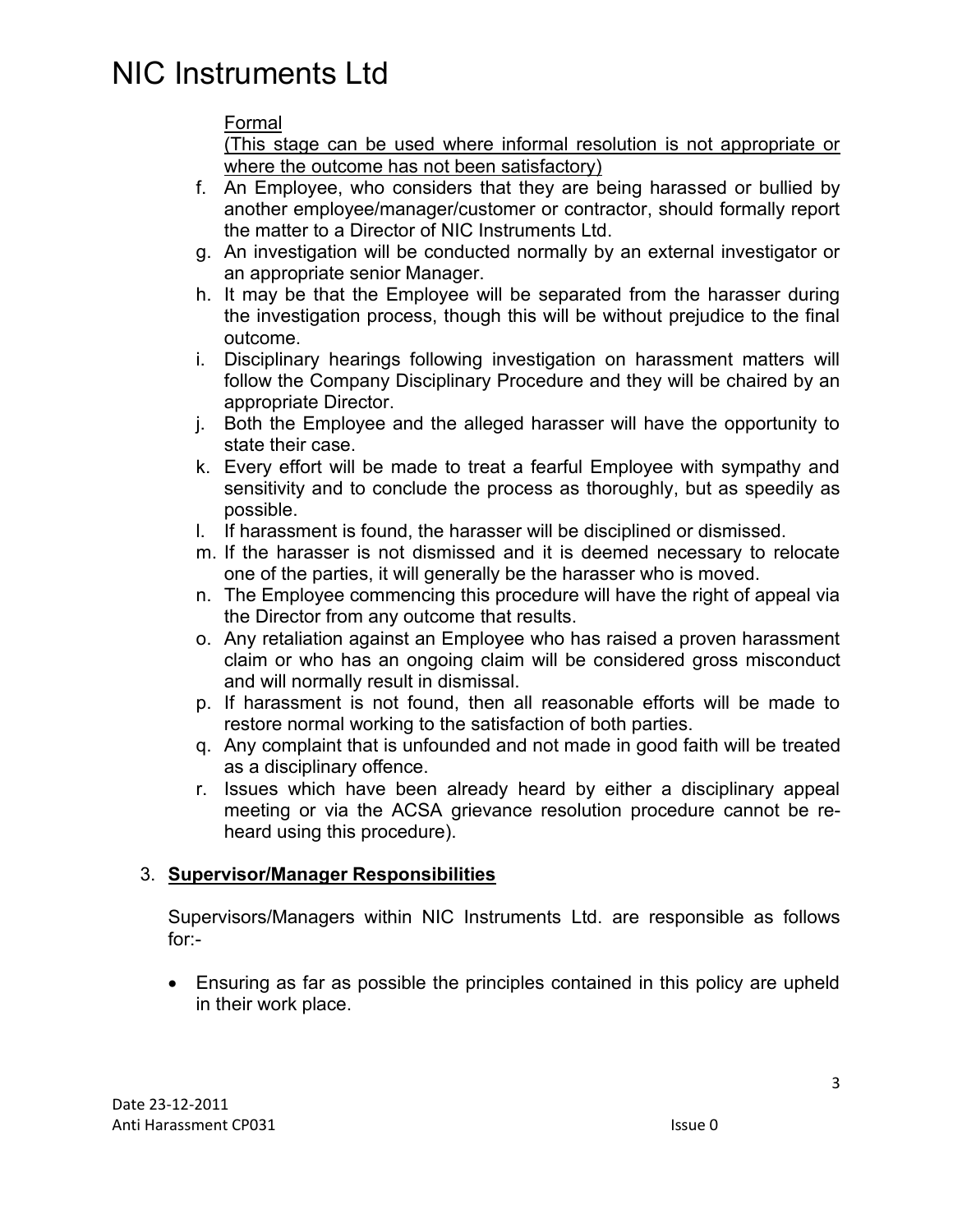# NIC Instruments Ltd

### Formal

(This stage can be used where informal resolution is not appropriate or where the outcome has not been satisfactory)

- f. An Employee, who considers that they are being harassed or bullied by another employee/manager/customer or contractor, should formally report the matter to a Director of NIC Instruments Ltd.
- g. An investigation will be conducted normally by an external investigator or an appropriate senior Manager.
- h. It may be that the Employee will be separated from the harasser during the investigation process, though this will be without prejudice to the final outcome.
- i. Disciplinary hearings following investigation on harassment matters will follow the Company Disciplinary Procedure and they will be chaired by an appropriate Director.
- j. Both the Employee and the alleged harasser will have the opportunity to state their case.
- k. Every effort will be made to treat a fearful Employee with sympathy and sensitivity and to conclude the process as thoroughly, but as speedily as possible.
- l. If harassment is found, the harasser will be disciplined or dismissed.
- m. If the harasser is not dismissed and it is deemed necessary to relocate one of the parties, it will generally be the harasser who is moved.
- n. The Employee commencing this procedure will have the right of appeal via the Director from any outcome that results.
- o. Any retaliation against an Employee who has raised a proven harassment claim or who has an ongoing claim will be considered gross misconduct and will normally result in dismissal.
- p. If harassment is not found, then all reasonable efforts will be made to restore normal working to the satisfaction of both parties.
- q. Any complaint that is unfounded and not made in good faith will be treated as a disciplinary offence.
- r. Issues which have been already heard by either a disciplinary appeal meeting or via the ACSA grievance resolution procedure cannot be reheard using this procedure).

### 3. **Supervisor/Manager Responsibilities**

Supervisors/Managers within NIC Instruments Ltd. are responsible as follows for:-

• Ensuring as far as possible the principles contained in this policy are upheld in their work place.